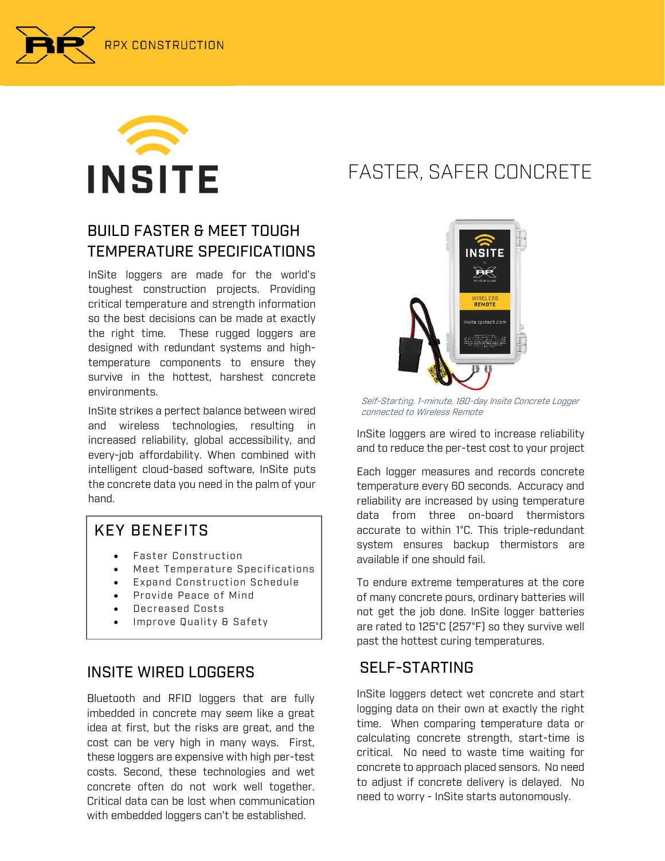



### BUILD FASTER & MEET TOUGH TEMPERATURE SPECIFICATIONS

InSite loggers are made for the world's toughest construction projects. Providing critical temperature and strength information so the best decisions can be made at exactly the right time. These rugged loggers are designed with redundant systems and hightemperature components to ensure they survive in the hottest, harshest concrete environments.

InSite strikes a perfect balance between wired and wireless technologies, resulting in increased reliability, global accessibility, and every-job affordability. When combined with intelligent cloud-based software, InSite puts the concrete data you need in the palm of your hand.

### KEY BENEFITS

- Faster Construction
- Meet Temperature Specifications
- Expand Construction Schedule
- Provide Peace of Mind
- Decreased Costs
- Improve Quality & Safety

### INSITE WIRED LOGGERS

Bluetooth and RFID loggers that are fully imbedded in concrete may seem like a great idea at first, but the risks are great, and the cost can be very high in many ways. First, these loggers are expensive with high per-test costs. Second, these technologies and wet concrete often do not work well together. Critical data can be lost when communication with embedded loggers can't be established.

## FASTER, SAFER CONCRETE



Self-Starting, 1-minute, 180-day Insite Concrete Logger

InSite loggers are wired to increase reliability and to reduce the per-test cost to your project

Each logger measures and records concrete temperature every 60 seconds. Accuracy and reliability are increased by using temperature data from three on-board thermistors accurate to within 1°C. This triple-redundant system ensures backup thermistors are available if one should fail.

To endure extreme temperatures at the core of many concrete pours, ordinary batteries will not get the job done. InSite logger batteries are rated to 125°C (257°F) so they survive well past the hottest curing temperatures.

### SELF-STARTING

InSite loggers detect wet concrete and start logging data on their own at exactly the right time. When comparing temperature data or calculating concrete strength, start-time is critical. No need to waste time waiting for concrete to approach placed sensors. No need to adjust if concrete delivery is delayed. No need to worry - InSite starts autonomously.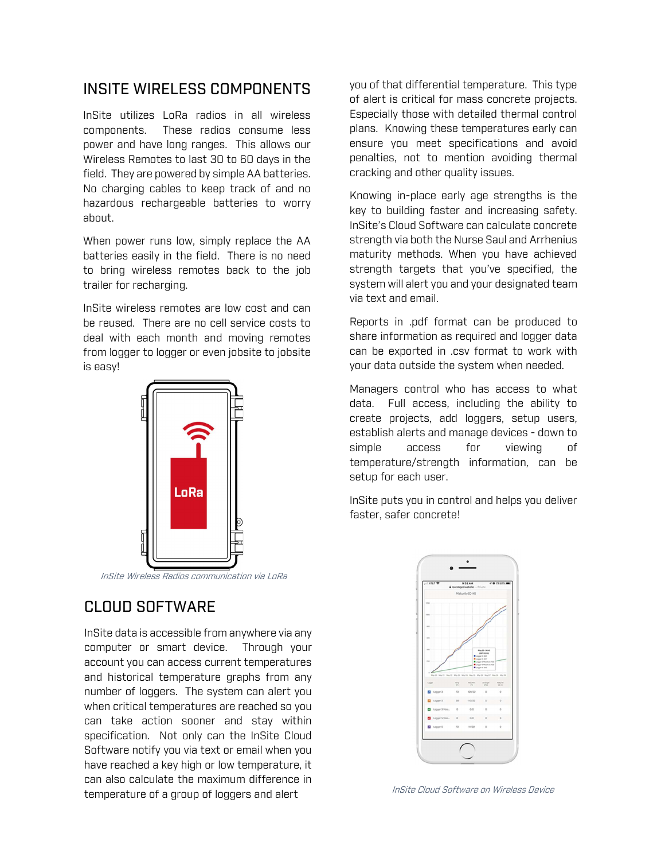#### INSITE WIRELESS COMPONENTS

InSite utilizes LoRa radios in all wireless components. These radios consume less power and have long ranges. This allows our Wireless Remotes to last 30 to 60 days in the field. They are powered by simple AA batteries. No charging cables to keep track of and no hazardous rechargeable batteries to worry about.

When power runs low, simply replace the AA batteries easily in the field. There is no need to bring wireless remotes back to the job trailer for recharging.

InSite wireless remotes are low cost and can be reused. There are no cell service costs to deal with each month and moving remotes from logger to logger or even jobsite to jobsite is easy!



InSite Wireless Radios communication via LoRa

#### CLOUD SOFTWARE

InSite data is accessible from anywhere via any computer or smart device. Through your account you can access current temperatures and historical temperature graphs from any number of loggers. The system can alert you when critical temperatures are reached so you can take action sooner and stay within specification. Not only can the InSite Cloud Software notify you via text or email when you have reached a key high or low temperature, it can also calculate the maximum difference in temperature of a group of loggers and alert

you of that differential temperature. This type of alert is critical for mass concrete projects. Especially those with detailed thermal control plans. Knowing these temperatures early can ensure you meet specifications and avoid penalties, not to mention avoiding thermal cracking and other quality issues.

Knowing in-place early age strengths is the key to building faster and increasing safety. InSite's Cloud Software can calculate concrete strength via both the Nurse Saul and Arrhenius maturity methods. When you have achieved strength targets that you've specified, the system will alert you and your designated team via text and email.

Reports in .pdf format can be produced to share information as required and logger data can be exported in .csv format to work with your data outside the system when needed.

Managers control who has access to what data. Full access, including the ability to create projects, add loggers, setup users, establish alerts and manage devices - down to simple access for viewing of temperature/strength information, can be setup for each user.

InSite puts you in control and helps you deliver faster, safer concrete!



InSite Cloud Software on Wireless Device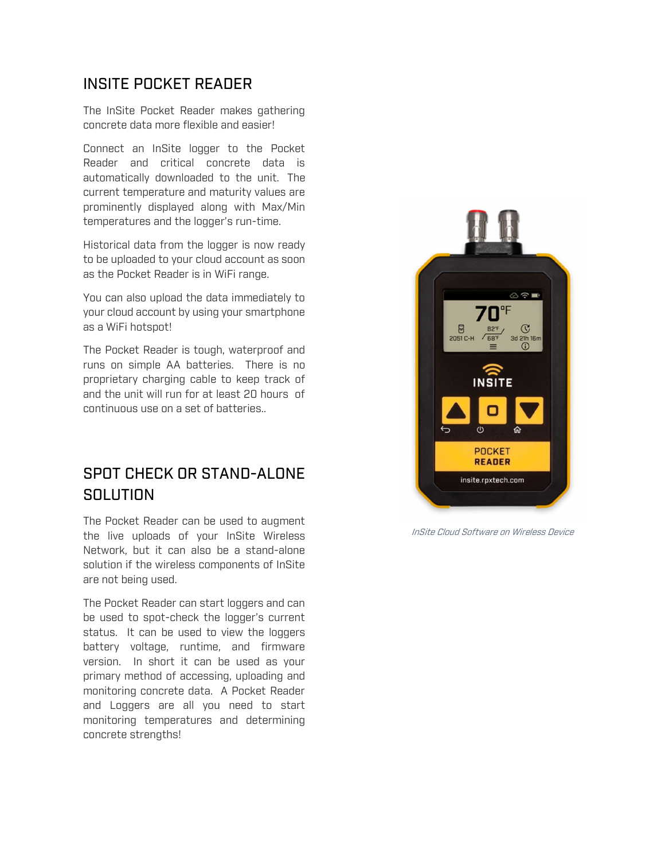#### INSITE POCKET READER

The InSite Pocket Reader makes gathering concrete data more flexible and easier!

Connect an InSite logger to the Pocket Reader and critical concrete data is automatically downloaded to the unit. The current temperature and maturity values are prominently displayed along with Max/Min temperatures and the logger's run-time.

Historical data from the logger is now ready to be uploaded to your cloud account as soon as the Pocket Reader is in WiFi range.

You can also upload the data immediately to your cloud account by using your smartphone as a WiFi hotspot!

The Pocket Reader is tough, waterproof and runs on simple AA batteries. There is no proprietary charging cable to keep track of and the unit will run for at least 20 hours of continuous use on a set of batteries..

#### SPOT CHECK OR STAND-ALONE SOLUTION

 the live uploads of your InSite Wireless The Pocket Reader can be used to augment Network, but it can also be a stand-alone solution if the wireless components of InSite are not being used.

The Pocket Reader can start loggers and can be used to spot-check the logger's current status. It can be used to view the loggers battery voltage, runtime, and firmware version. In short it can be used as your primary method of accessing, uploading and monitoring concrete data. A Pocket Reader and Loggers are all you need to start monitoring temperatures and determining concrete strengths!



InSite Cloud Software on Wireless Device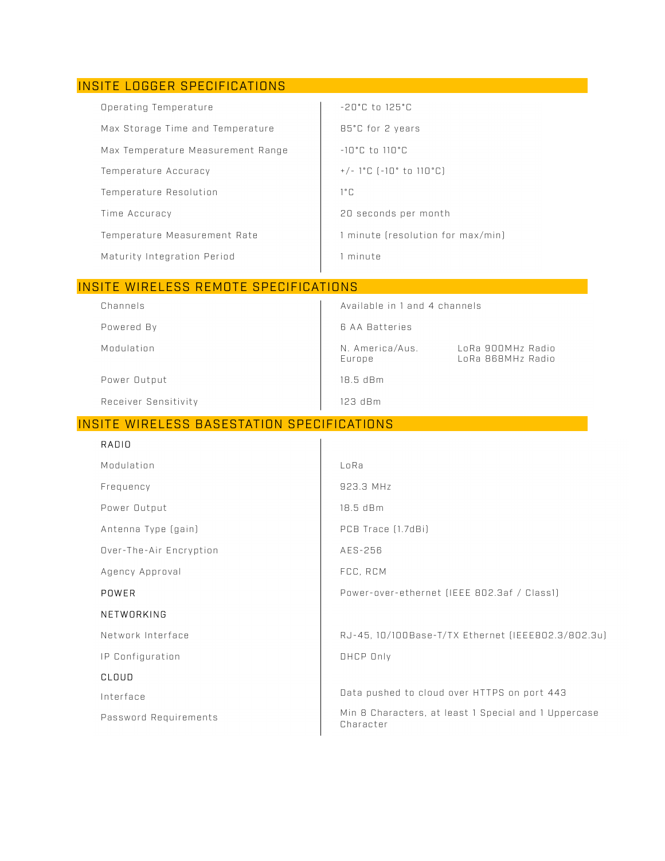#### INSITE LOGGER SPECIFICATIONS  $-20^{\circ}$ C to  $125^{\circ}$ C Operating Temperature Max Storage Time and Temperature 85°C for 2 years Max Temperature Measurement Range  $-10^{\circ}$ C to  $110^{\circ}$ C Temperature Accuracy +/-  $1^{\circ}$ C (-10° to 110°C) Temperature Resolution  $1°C$ Time Accuracy 20 seconds per month Temperature Measurement Rate 1 minute (resolution for max/min) Maturity Integration Period 1 minute

#### INSITE WIRELESS REMOTE SPECIFICATIONS

| Channels             | Available in 1 and 4 channels |                                        |
|----------------------|-------------------------------|----------------------------------------|
| Powered By           | 6 AA Batteries                |                                        |
| Modulation           | N. America/Aus.<br>Europe     | LoRa 900MHz Radio<br>LoRa 868MHz Radio |
| Power Output         | $18.5$ dBm                    |                                        |
| Receiver Sensitivity | $123$ dBm                     |                                        |

#### INSITE WIRELESS BASESTATION SPECIFICATIONS

| RADIO                   |                                                                   |
|-------------------------|-------------------------------------------------------------------|
| Modulation              | LoRa                                                              |
| Frequency               | 923.3 MHz                                                         |
| Power Output            | 18.5 dBm                                                          |
| Antenna Type (gain)     | PCB Trace (1.7dBi)                                                |
| Over-The-Air Encryption | AES-256                                                           |
| Agency Approval         | FCC, RCM                                                          |
| POWER                   | Power-over-ethernet (IEEE 802.3af / Class1)                       |
| NETWORKING              |                                                                   |
| Network Interface       | RJ-45, 10/100Base-T/TX Ethernet (IEEE802.3/802.3u)                |
| IP Configuration        | DHCP Only                                                         |
| CLOUD                   |                                                                   |
| Interface               | Data pushed to cloud over HTTPS on port 443                       |
| Password Requirements   | Min 8 Characters, at least 1 Special and 1 Uppercase<br>Character |